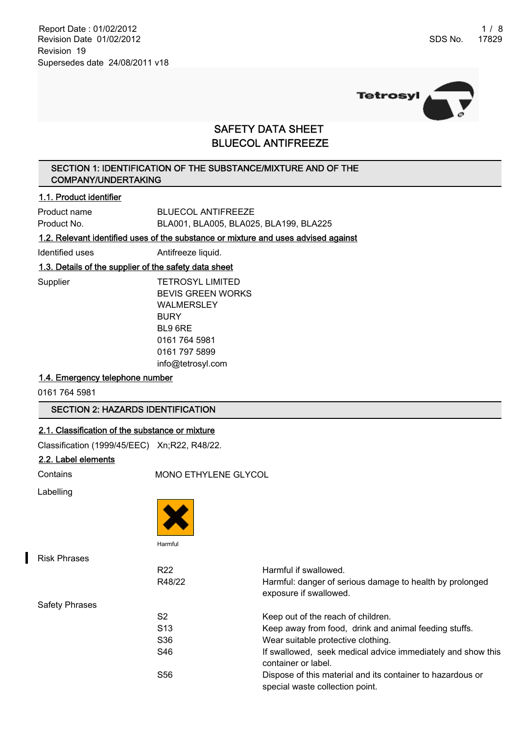Report Date : 01/02/2012 1 / 8 Revision Date 01/02/2012 Revision 19 Supersedes date 24/08/2011 v18



## SAFETY DATA SHEET BLUECOL ANTIFREEZE

## SECTION 1: IDENTIFICATION OF THE SUBSTANCE/MIXTURE AND OF THE COMPANY/UNDERTAKING

#### 1.1. Product identifier

Product name BLUECOL ANTIFREEZE Product No. BLA001, BLA005, BLA025, BLA199, BLA225

1.2. Relevant identified uses of the substance or mixture and uses advised against

Identified uses **Antifreeze liquid.** 

## 1.3. Details of the supplier of the safety data sheet

Supplier TETROSYL LIMITED BEVIS GREEN WORKS WALMERSLEY **BURY** BL9 6RE 0161 764 5981 0161 797 5899 info@tetrosyl.com

## 1.4. Emergency telephone number

0161 764 5981

## SECTION 2: HAZARDS IDENTIFICATION

#### 2.1. Classification of the substance or mixture

Classification (1999/45/EEC) Xn;R22, R48/22.

### 2.2. Label elements

Contains MONO ETHYLENE GLYCOL

Labelling



| <b>Risk Phrases</b> |                 |                                                                                               |
|---------------------|-----------------|-----------------------------------------------------------------------------------------------|
|                     | R <sub>22</sub> | Harmful if swallowed.                                                                         |
|                     | R48/22          | Harmful: danger of serious damage to health by prolonged<br>exposure if swallowed.            |
| Safety Phrases      |                 |                                                                                               |
|                     | S2              | Keep out of the reach of children.                                                            |
|                     | S <sub>13</sub> | Keep away from food, drink and animal feeding stuffs.                                         |
|                     | S <sub>36</sub> | Wear suitable protective clothing.                                                            |
|                     | S46             | If swallowed, seek medical advice immediately and show this<br>container or label.            |
|                     | S <sub>56</sub> | Dispose of this material and its container to hazardous or<br>special waste collection point. |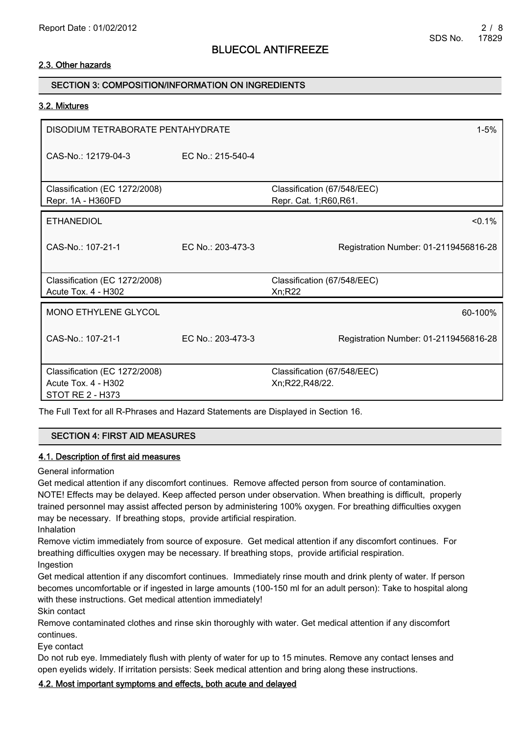## 2.3. Other hazards

## SECTION 3: COMPOSITION/INFORMATION ON INGREDIENTS

#### 3.2. Mixtures

| DISODIUM TETRABORATE PENTAHYDRATE<br>$1 - 5%$                                   |                    |                                                      |  |
|---------------------------------------------------------------------------------|--------------------|------------------------------------------------------|--|
| CAS-No.: 12179-04-3                                                             | EC No.: 215-540-4  |                                                      |  |
| Classification (EC 1272/2008)<br>Repr. 1A - H360FD                              |                    | Classification (67/548/EEC)<br>Repr. Cat. 1;R60,R61. |  |
| <b>ETHANEDIOL</b>                                                               |                    | $< 0.1\%$                                            |  |
| $CAS-No \cdot 107-21-1$                                                         | $FC NO: 203-473-3$ | Registration Number: 01-2119456816-28                |  |
| Classification (EC 1272/2008)<br>Acute Tox. 4 - H302                            |                    | Classification (67/548/EEC)<br>Xn; R22               |  |
| MONO ETHYLENE GLYCOL                                                            |                    | 60-100%                                              |  |
| CAS-No.: 107-21-1                                                               | EC No.: 203-473-3  | Registration Number: 01-2119456816-28                |  |
| Classification (EC 1272/2008)<br>Acute Tox. 4 - H302<br><b>STOT RE 2 - H373</b> |                    | Classification (67/548/EEC)<br>Xn;R22,R48/22.        |  |

The Full Text for all R-Phrases and Hazard Statements are Displayed in Section 16.

#### SECTION 4: FIRST AID MEASURES

#### 4.1. Description of first aid measures

General information

Get medical attention if any discomfort continues. Remove affected person from source of contamination. NOTE! Effects may be delayed. Keep affected person under observation. When breathing is difficult, properly trained personnel may assist affected person by administering 100% oxygen. For breathing difficulties oxygen may be necessary. If breathing stops, provide artificial respiration.

Inhalation

Remove victim immediately from source of exposure. Get medical attention if any discomfort continues. For breathing difficulties oxygen may be necessary. If breathing stops, provide artificial respiration. Ingestion

Get medical attention if any discomfort continues. Immediately rinse mouth and drink plenty of water. If person becomes uncomfortable or if ingested in large amounts (100-150 ml for an adult person): Take to hospital along with these instructions. Get medical attention immediately!

Skin contact

Remove contaminated clothes and rinse skin thoroughly with water. Get medical attention if any discomfort continues.

Eye contact

Do not rub eye. Immediately flush with plenty of water for up to 15 minutes. Remove any contact lenses and open eyelids widely. If irritation persists: Seek medical attention and bring along these instructions.

## 4.2. Most important symptoms and effects, both acute and delayed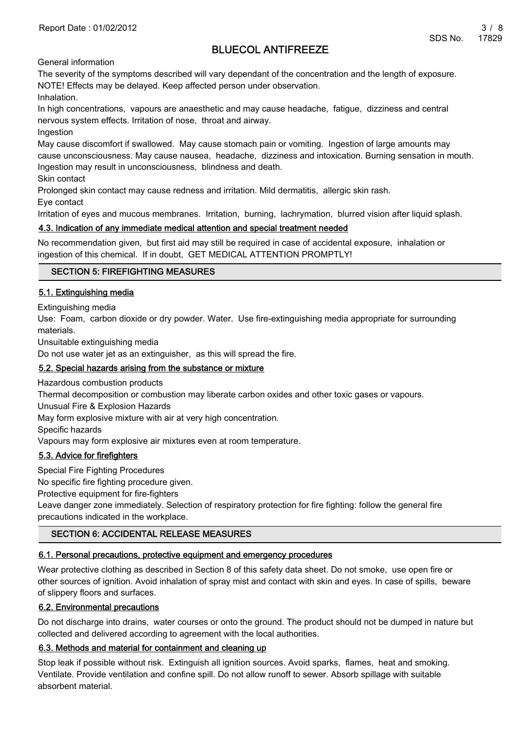General information

The severity of the symptoms described will vary dependant of the concentration and the length of exposure. NOTE! Effects may be delayed. Keep affected person under observation.

Inhalation.

In high concentrations, vapours are anaesthetic and may cause headache, fatigue, dizziness and central nervous system effects. Irritation of nose, throat and airway.

Ingestion

May cause discomfort if swallowed. May cause stomach pain or vomiting. Ingestion of large amounts may cause unconsciousness. May cause nausea, headache, dizziness and intoxication. Burning sensation in mouth. Ingestion may result in unconsciousness, blindness and death.

Skin contact

Prolonged skin contact may cause redness and irritation. Mild dermatitis, allergic skin rash.

Eye contact

Irritation of eyes and mucous membranes. Irritation, burning, lachrymation, blurred vision after liquid splash.

## 4.3. Indication of any immediate medical attention and special treatment needed

No recommendation given, but first aid may still be required in case of accidental exposure, inhalation or ingestion of this chemical. If in doubt, GET MEDICAL ATTENTION PROMPTLY!

## SECTION 5: FIREFIGHTING MEASURES

### 5.1. Extinguishing media

Extinguishing media

Use: Foam, carbon dioxide or dry powder. Water. Use fire-extinguishing media appropriate for surrounding materials.

Unsuitable extinguishing media

Do not use water jet as an extinguisher, as this will spread the fire.

### 5.2. Special hazards arising from the substance or mixture

Hazardous combustion products

Thermal decomposition or combustion may liberate carbon oxides and other toxic gases or vapours.

Unusual Fire & Explosion Hazards

May form explosive mixture with air at very high concentration.

Specific hazards

Vapours may form explosive air mixtures even at room temperature.

## 5.3. Advice for firefighters

Special Fire Fighting Procedures

No specific fire fighting procedure given.

Protective equipment for fire-fighters

Leave danger zone immediately. Selection of respiratory protection for fire fighting: follow the general fire precautions indicated in the workplace.

## SECTION 6: ACCIDENTAL RELEASE MEASURES

## 6.1. Personal precautions, protective equipment and emergency procedures

Wear protective clothing as described in Section 8 of this safety data sheet. Do not smoke, use open fire or other sources of ignition. Avoid inhalation of spray mist and contact with skin and eyes. In case of spills, beware of slippery floors and surfaces.

## 6.2. Environmental precautions

Do not discharge into drains, water courses or onto the ground. The product should not be dumped in nature but collected and delivered according to agreement with the local authorities.

## 6.3. Methods and material for containment and cleaning up

Stop leak if possible without risk. Extinguish all ignition sources. Avoid sparks, flames, heat and smoking. Ventilate. Provide ventilation and confine spill. Do not allow runoff to sewer. Absorb spillage with suitable absorbent material.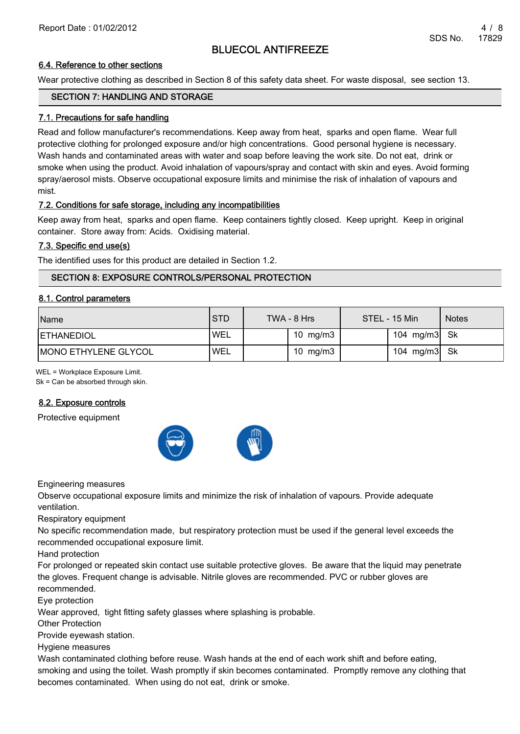### 6.4. Reference to other sections

Wear protective clothing as described in Section 8 of this safety data sheet. For waste disposal, see section 13.

### SECTION 7: HANDLING AND STORAGE

### 7.1. Precautions for safe handling

Read and follow manufacturer's recommendations. Keep away from heat, sparks and open flame. Wear full protective clothing for prolonged exposure and/or high concentrations. Good personal hygiene is necessary. Wash hands and contaminated areas with water and soap before leaving the work site. Do not eat, drink or smoke when using the product. Avoid inhalation of vapours/spray and contact with skin and eyes. Avoid forming spray/aerosol mists. Observe occupational exposure limits and minimise the risk of inhalation of vapours and mist.

### 7.2. Conditions for safe storage, including any incompatibilities

Keep away from heat, sparks and open flame. Keep containers tightly closed. Keep upright. Keep in original container. Store away from: Acids. Oxidising material.

### 7.3. Specific end use(s)

The identified uses for this product are detailed in Section 1.2.

## SECTION 8: EXPOSURE CONTROLS/PERSONAL PROTECTION

#### 8.1. Control parameters

| <b>Name</b>          | <b>STD</b> | TWA - 8 Hrs | STEL - 15 Min | <b>Notes</b> |
|----------------------|------------|-------------|---------------|--------------|
| <b>ETHANEDIOL</b>    | 'WEL       | 10 $mg/m3$  | 104 mg/m3 Sk  |              |
| MONO ETHYLENE GLYCOL | 'WEL       | 10 $mg/m3$  | 104 mg/m3 Sk  |              |

WEL = Workplace Exposure Limit.

Sk = Can be absorbed through skin.

## 8.2. Exposure controls

Protective equipment



Engineering measures

Observe occupational exposure limits and minimize the risk of inhalation of vapours. Provide adequate ventilation.

Respiratory equipment

No specific recommendation made, but respiratory protection must be used if the general level exceeds the recommended occupational exposure limit.

Hand protection

For prolonged or repeated skin contact use suitable protective gloves. Be aware that the liquid may penetrate the gloves. Frequent change is advisable. Nitrile gloves are recommended. PVC or rubber gloves are recommended.

Eye protection

Wear approved, tight fitting safety glasses where splashing is probable.

Other Protection

Provide eyewash station.

Hygiene measures

Wash contaminated clothing before reuse. Wash hands at the end of each work shift and before eating, smoking and using the toilet. Wash promptly if skin becomes contaminated. Promptly remove any clothing that becomes contaminated. When using do not eat, drink or smoke.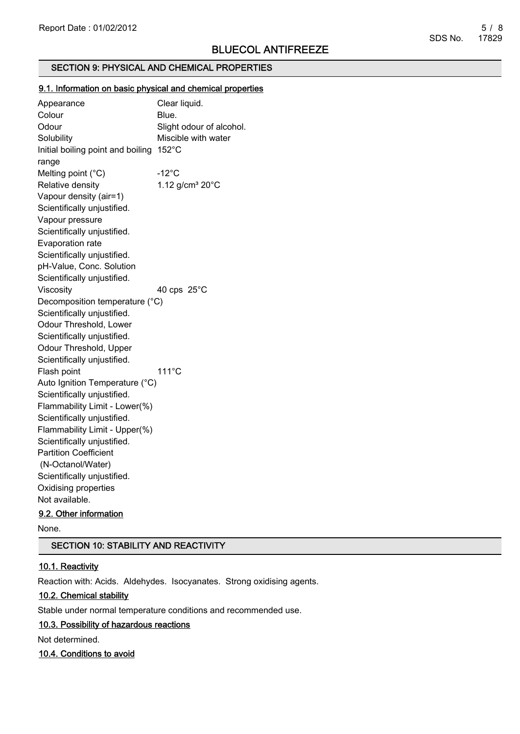### SECTION 9: PHYSICAL AND CHEMICAL PROPERTIES

#### 9.1. Information on basic physical and chemical properties

Appearance Clear liquid. Colour Blue. Odour Slight odour of alcohol. Solubility Miscible with water Initial boiling point and boiling 152°C range Melting point  $(^{\circ}C)$  -12 $^{\circ}C$ Relative density 1.12 g/cm<sup>3</sup> 20°C Vapour density (air=1) Scientifically unjustified. Vapour pressure Scientifically unjustified. Evaporation rate Scientifically unjustified. pH-Value, Conc. Solution Scientifically unjustified. Viscosity 40 cps 25°C Decomposition temperature (°C) Scientifically unjustified. Odour Threshold, Lower Scientifically unjustified. Odour Threshold, Upper Scientifically unjustified. Flash point 111°C Auto Ignition Temperature (°C) Scientifically unjustified. Flammability Limit - Lower(%) Scientifically unjustified. Flammability Limit - Upper(%) Scientifically unjustified. Partition Coefficient (N-Octanol/Water) Scientifically unjustified. Oxidising properties Not available.

## 9.2. Other information

None.

#### SECTION 10: STABILITY AND REACTIVITY

#### 10.1. Reactivity

Reaction with: Acids. Aldehydes. Isocyanates. Strong oxidising agents.

#### 10.2. Chemical stability

Stable under normal temperature conditions and recommended use.

#### 10.3. Possibility of hazardous reactions

Not determined.

#### 10.4. Conditions to avoid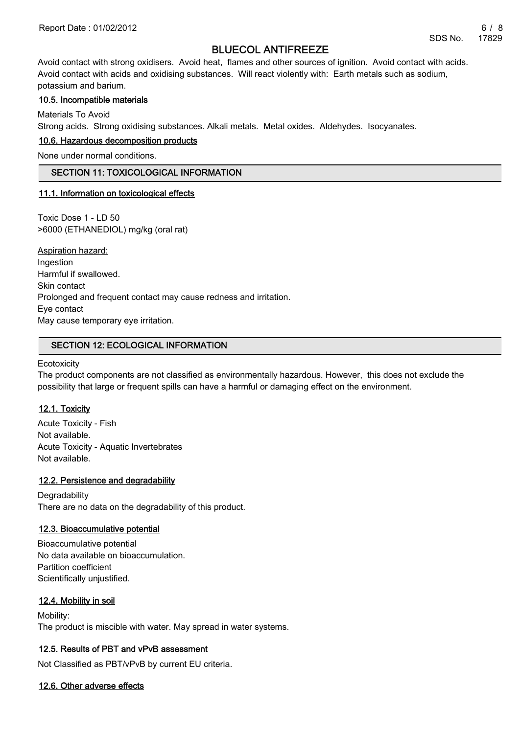Avoid contact with strong oxidisers. Avoid heat, flames and other sources of ignition. Avoid contact with acids. Avoid contact with acids and oxidising substances. Will react violently with: Earth metals such as sodium, potassium and barium.

### 10.5. Incompatible materials

Materials To Avoid

Strong acids. Strong oxidising substances. Alkali metals. Metal oxides. Aldehydes. Isocyanates.

#### 10.6. Hazardous decomposition products

None under normal conditions.

#### SECTION 11: TOXICOLOGICAL INFORMATION

#### 11.1. Information on toxicological effects

Toxic Dose 1 - LD 50 >6000 (ETHANEDIOL) mg/kg (oral rat)

Aspiration hazard: Ingestion Harmful if swallowed. Skin contact Prolonged and frequent contact may cause redness and irritation. Eye contact May cause temporary eye irritation.

### SECTION 12: ECOLOGICAL INFORMATION

**Ecotoxicity** 

The product components are not classified as environmentally hazardous. However, this does not exclude the possibility that large or frequent spills can have a harmful or damaging effect on the environment.

#### 12.1. Toxicity

Acute Toxicity - Fish Not available. Acute Toxicity - Aquatic Invertebrates Not available.

#### 12.2. Persistence and degradability

**Degradability** There are no data on the degradability of this product.

#### 12.3. Bioaccumulative potential

Bioaccumulative potential No data available on bioaccumulation. Partition coefficient Scientifically unjustified.

## 12.4. Mobility in soil

Mobility: The product is miscible with water. May spread in water systems.

## 12.5. Results of PBT and vPvB assessment

Not Classified as PBT/vPvB by current EU criteria.

#### 12.6. Other adverse effects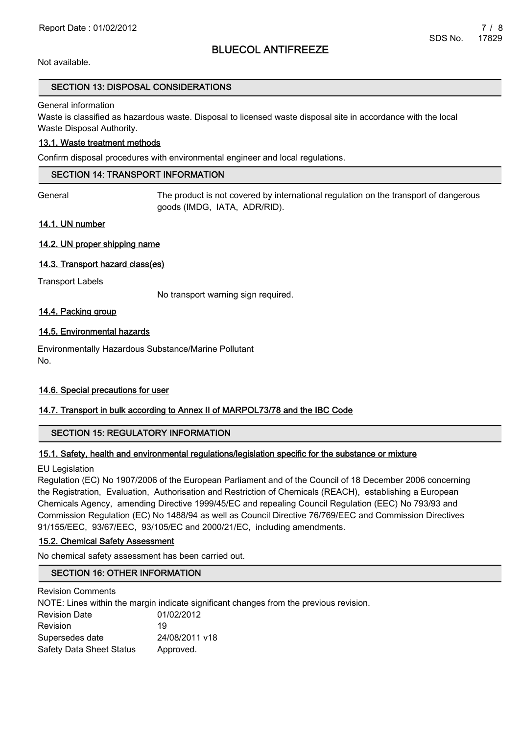Not available.

#### SECTION 13: DISPOSAL CONSIDERATIONS

General information

Waste is classified as hazardous waste. Disposal to licensed waste disposal site in accordance with the local Waste Disposal Authority.

### 13.1. Waste treatment methods

Confirm disposal procedures with environmental engineer and local regulations.

#### SECTION 14: TRANSPORT INFORMATION

General The product is not covered by international regulation on the transport of dangerous goods (IMDG, IATA, ADR/RID).

#### 14.1. UN number

### 14.2. UN proper shipping name

### 14.3. Transport hazard class(es)

Transport Labels

No transport warning sign required.

### 14.4. Packing group

### 14.5. Environmental hazards

Environmentally Hazardous Substance/Marine Pollutant No.

#### 14.6. Special precautions for user

## 14.7. Transport in bulk according to Annex II of MARPOL73/78 and the IBC Code

## SECTION 15: REGULATORY INFORMATION

## 15.1. Safety, health and environmental regulations/legislation specific for the substance or mixture

EU Legislation

Regulation (EC) No 1907/2006 of the European Parliament and of the Council of 18 December 2006 concerning the Registration, Evaluation, Authorisation and Restriction of Chemicals (REACH), establishing a European Chemicals Agency, amending Directive 1999/45/EC and repealing Council Regulation (EEC) No 793/93 and Commission Regulation (EC) No 1488/94 as well as Council Directive 76/769/EEC and Commission Directives 91/155/EEC, 93/67/EEC, 93/105/EC and 2000/21/EC, including amendments.

#### 15.2. Chemical Safety Assessment

No chemical safety assessment has been carried out.

#### SECTION 16: OTHER INFORMATION

Revision Comments

NOTE: Lines within the margin indicate significant changes from the previous revision.

| 01/02/2012     |
|----------------|
| 19             |
| 24/08/2011 v18 |
| Approved.      |
|                |